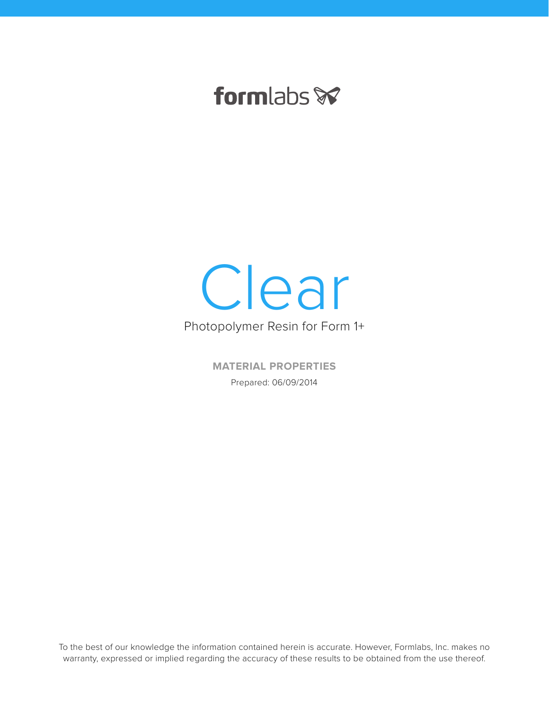## formlabs **x**



**MATERIAL PROPERTIES** Prepared: 06/09/2014

To the best of our knowledge the information contained herein is accurate. However, Formlabs, Inc. makes no warranty, expressed or implied regarding the accuracy of these results to be obtained from the use thereof.